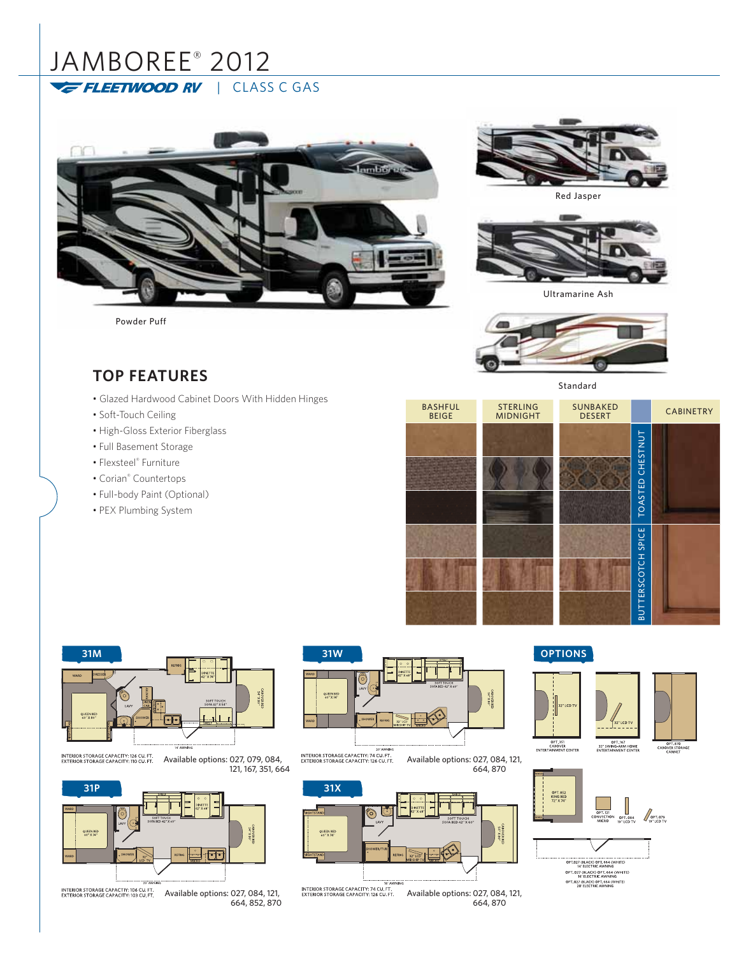# JAMBOREE® 2012 FLEETWOOD RV | CLASS C GAS



Powder Puff



Red Jasper



Ultramarine Ash



Standard

## **TOP FEATURES**

- Glazed Hardwood Cabinet Doors With Hidden Hinges
- Soft-Touch Ceiling
- High-Gloss Exterior Fiberglass
- Full Basement Storage
- Flexsteel® Furniture
- Corian® Countertops
- Full-body Paint (Optional)
- PEX Plumbing System

| <b>BASHFUL</b><br><b>BEIGE</b> | <b>STERLING</b><br><b>MIDNIGHT</b> | <b>SUNBAKED</b><br><b>DESERT</b> |                           | <b>CABINETRY</b> |  |
|--------------------------------|------------------------------------|----------------------------------|---------------------------|------------------|--|
|                                |                                    |                                  | TOASTED CHESTNUT          |                  |  |
|                                |                                    |                                  | <b>BUTTERSCOTCH SPICE</b> |                  |  |



INTERIOR STORAGE CAPACITY: 126 CU. FT. Available options: 027, 079, 084, 121, 167, 351, 664



INTERIOR STORAGE CAPACTIY: 106 CU. FT. Available options: 027, 084, 121, 664, 852, 870





664, 870

INTERIOR STORAGE CAPACITY: 74 CU. FT.<br>EXTERIOR STORAGE CAPACITY: 126 CU. FT. Available options: 027, 084, 121, 664, 870

### **OPTIONS**



OPT. 852<br>KING BED<br>72" X 74" OPT.121<br>CONVECTION OFT.084 OPT.079<br>MICRO 19"LCDTV AP"LCDTV

> OPT.027 (BLACK) OPT.664 (WHITE)<br>14' ELECTRIC AWNING 14 ELECTRIC AWNING<br>OPT. 027 (BLACK) OPT. 664 (WHITE)<br>OPT. 027 (BLACK) OPT. 664 (WHITE)<br>20' ELECTRIC AWNING